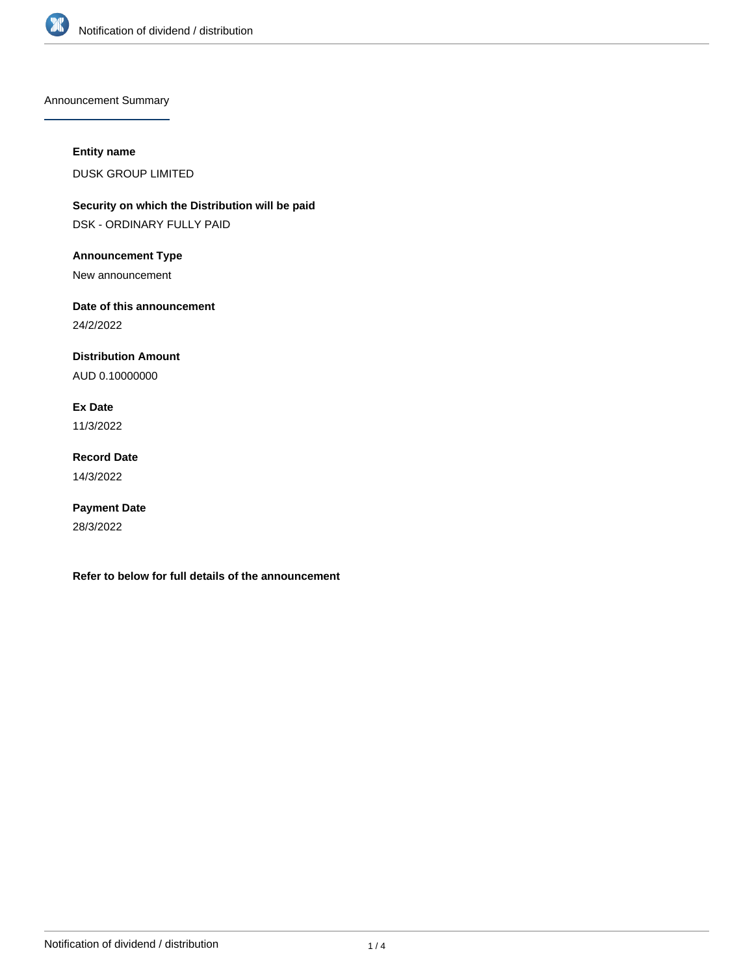

Announcement Summary

# **Entity name**

DUSK GROUP LIMITED

**Security on which the Distribution will be paid** DSK - ORDINARY FULLY PAID

**Announcement Type**

New announcement

**Date of this announcement**

24/2/2022

**Distribution Amount**

AUD 0.10000000

**Ex Date** 11/3/2022

**Record Date** 14/3/2022

**Payment Date** 28/3/2022

**Refer to below for full details of the announcement**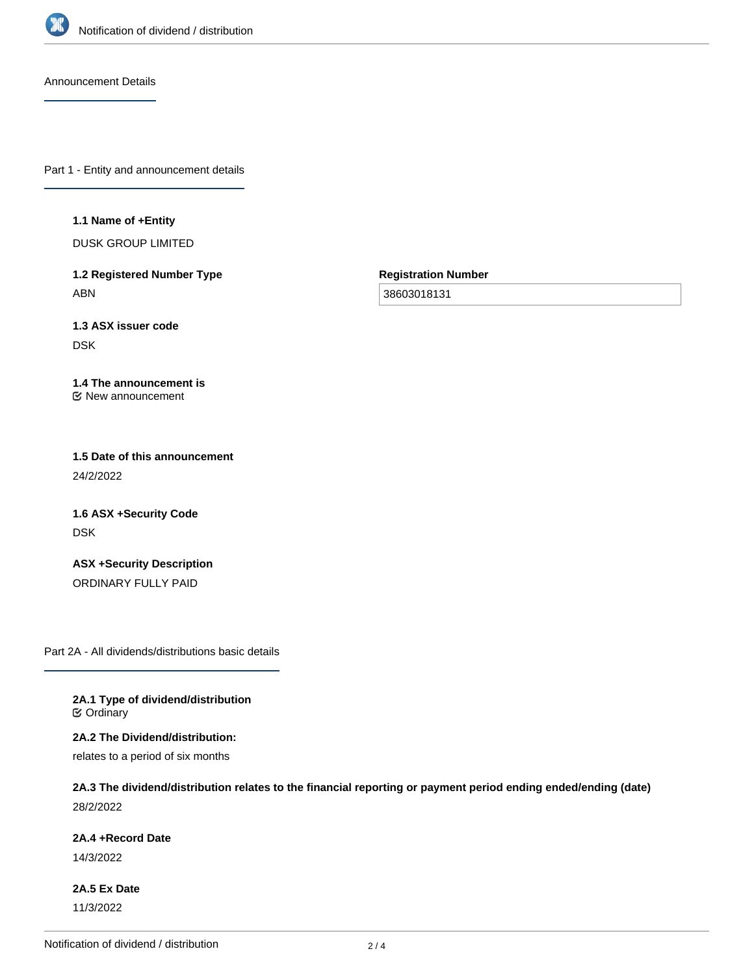

Announcement Details

Part 1 - Entity and announcement details

### **1.1 Name of +Entity**

DUSK GROUP LIMITED

**1.2 Registered Number Type** ABN

**Registration Number**

38603018131

**1.3 ASX issuer code** DSK

### **1.4 The announcement is** New announcement

**1.5 Date of this announcement** 24/2/2022

**1.6 ASX +Security Code** DSK

**ASX +Security Description** ORDINARY FULLY PAID

Part 2A - All dividends/distributions basic details

**2A.1 Type of dividend/distribution C** Ordinary

**2A.2 The Dividend/distribution:**

relates to a period of six months

**2A.3 The dividend/distribution relates to the financial reporting or payment period ending ended/ending (date)** 28/2/2022

# **2A.4 +Record Date**

14/3/2022

**2A.5 Ex Date** 11/3/2022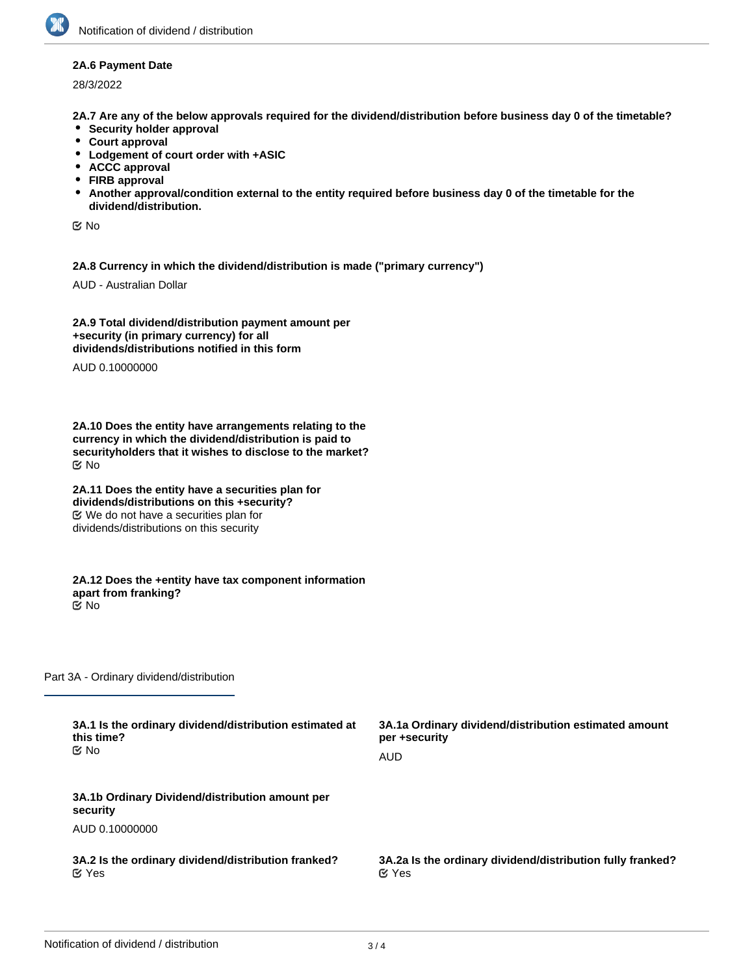### **2A.6 Payment Date**

28/3/2022

**2A.7 Are any of the below approvals required for the dividend/distribution before business day 0 of the timetable?**

- **•** Security holder approval
- **Court approval**
- **Lodgement of court order with +ASIC**
- **ACCC approval**
- **FIRB approval**
- **Another approval/condition external to the entity required before business day 0 of the timetable for the dividend/distribution.**

No

**2A.8 Currency in which the dividend/distribution is made ("primary currency")**

AUD - Australian Dollar

**2A.9 Total dividend/distribution payment amount per +security (in primary currency) for all dividends/distributions notified in this form**

AUD 0.10000000

**2A.10 Does the entity have arrangements relating to the currency in which the dividend/distribution is paid to securityholders that it wishes to disclose to the market?** No

**2A.11 Does the entity have a securities plan for dividends/distributions on this +security?** We do not have a securities plan for dividends/distributions on this security

**2A.12 Does the +entity have tax component information apart from franking?** No

Part 3A - Ordinary dividend/distribution

| 3A.1 Is the ordinary dividend/distribution estimated at     | 3A.1a Ordinary dividend/distribution estimated amount      |
|-------------------------------------------------------------|------------------------------------------------------------|
| this time?                                                  | per +security                                              |
| C⁄No                                                        | AUD                                                        |
| 3A.1b Ordinary Dividend/distribution amount per<br>security |                                                            |
| AUD 0.10000000                                              |                                                            |
| 3A.2 Is the ordinary dividend/distribution franked?         | 3A.2a Is the ordinary dividend/distribution fully franked? |
| $\alpha$ Yes                                                | $\alpha$ Yes                                               |